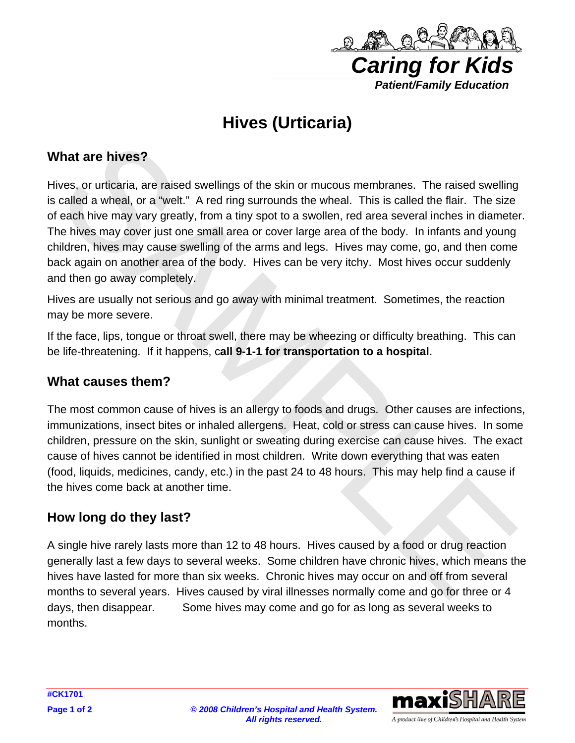

# **Hives (Urticaria)**

## **What are hives?**

**Xhat are hives?**<br>
Wes, or urticania, are raised swellings of the skin or mucous membranes. The raised swelling<br>
called a wheal, or a "welt." A red mg surrounds the wheal. This is called the flair. The size<br>
each hive may Hives, or urticaria, are raised swellings of the skin or mucous membranes. The raised swelling is called a wheal, or a "welt." A red ring surrounds the wheal. This is called the flair. The size of each hive may vary greatly, from a tiny spot to a swollen, red area several inches in diameter. The hives may cover just one small area or cover large area of the body. In infants and young children, hives may cause swelling of the arms and legs. Hives may come, go, and then come back again on another area of the body. Hives can be very itchy. Most hives occur suddenly and then go away completely.

Hives are usually not serious and go away with minimal treatment. Sometimes, the reaction may be more severe.

If the face, lips, tongue or throat swell, there may be wheezing or difficulty breathing. This can be life-threatening. If it happens, c**all 9-1-1 for transportation to a hospital**.

#### **What causes them?**

The most common cause of hives is an allergy to foods and drugs. Other causes are infections, immunizations, insect bites or inhaled allergens. Heat, cold or stress can cause hives. In some children, pressure on the skin, sunlight or sweating during exercise can cause hives. The exact cause of hives cannot be identified in most children. Write down everything that was eaten (food, liquids, medicines, candy, etc.) in the past 24 to 48 hours. This may help find a cause if the hives come back at another time.

## **How long do they last?**

A single hive rarely lasts more than 12 to 48 hours. Hives caused by a food or drug reaction generally last a few days to several weeks. Some children have chronic hives, which means the hives have lasted for more than six weeks. Chronic hives may occur on and off from several months to several years. Hives caused by viral illnesses normally come and go for three or 4 days, then disappear. Some hives may come and go for as long as several weeks to months.



**#CK1701** 

**Page 1 of 2** *© 2008 Children's Hospital and Health System. All rights reserved.*